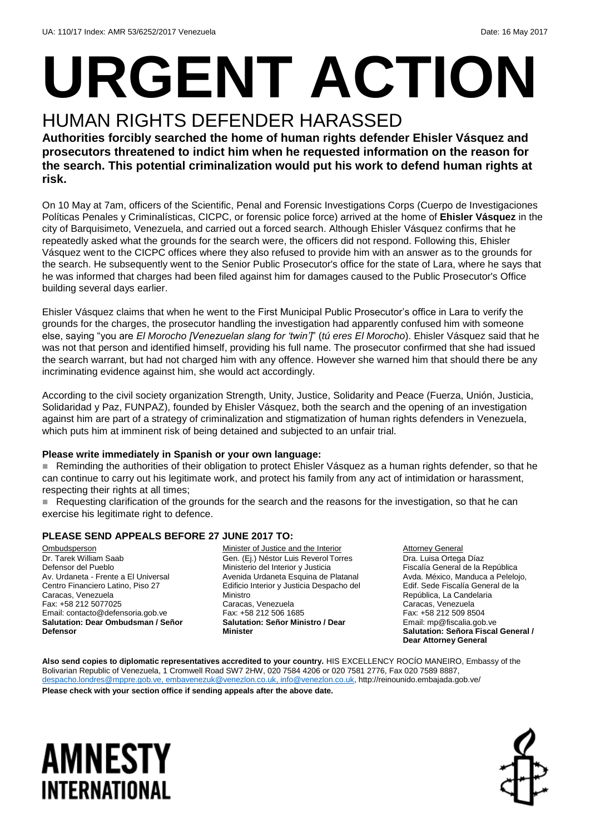# **URGENT ACTION**

### HUMAN RIGHTS DEFENDER HARASSED

**Authorities forcibly searched the home of human rights defender Ehisler Vásquez and prosecutors threatened to indict him when he requested information on the reason for the search. This potential criminalization would put his work to defend human rights at risk.**

On 10 May at 7am, officers of the Scientific, Penal and Forensic Investigations Corps (Cuerpo de Investigaciones Políticas Penales y Criminalísticas, CICPC, or forensic police force) arrived at the home of **Ehisler Vásquez** in the city of Barquisimeto, Venezuela, and carried out a forced search. Although Ehisler Vásquez confirms that he repeatedly asked what the grounds for the search were, the officers did not respond. Following this, Ehisler Vásquez went to the CICPC offices where they also refused to provide him with an answer as to the grounds for the search. He subsequently went to the Senior Public Prosecutor's office for the state of Lara, where he says that he was informed that charges had been filed against him for damages caused to the Public Prosecutor's Office building several days earlier.

Ehisler Vásquez claims that when he went to the First Municipal Public Prosecutor's office in Lara to verify the grounds for the charges, the prosecutor handling the investigation had apparently confused him with someone else, saying "you are *El Morocho [Venezuelan slang for 'twin']*" (*tú eres El Morocho*). Ehisler Vásquez said that he was not that person and identified himself, providing his full name. The prosecutor confirmed that she had issued the search warrant, but had not charged him with any offence. However she warned him that should there be any incriminating evidence against him, she would act accordingly.

According to the civil society organization Strength, Unity, Justice, Solidarity and Peace (Fuerza, Unión, Justicia, Solidaridad y Paz, FUNPAZ), founded by Ehisler Vásquez, both the search and the opening of an investigation against him are part of a strategy of criminalization and stigmatization of human rights defenders in Venezuela, which puts him at imminent risk of being detained and subjected to an unfair trial.

#### **Please write immediately in Spanish or your own language:**

 Reminding the authorities of their obligation to protect Ehisler Vásquez as a human rights defender, so that he can continue to carry out his legitimate work, and protect his family from any act of intimidation or harassment, respecting their rights at all times:

Requesting clarification of the grounds for the search and the reasons for the investigation, so that he can exercise his legitimate right to defence.

#### **PLEASE SEND APPEALS BEFORE 27 JUNE 2017 TO:**

**Ombudsperson** Dr. Tarek William Saab Defensor del Pueblo Av. Urdaneta - Frente a El Universal Centro Financiero Latino, Piso 27 Caracas, Venezuela Fax: +58 212 5077025 Email: contacto@defensoria.gob.ve **Salutation: Dear Ombudsman / Señor Defensor**

Minister of Justice and the Interior Gen. (Ej.) Néstor Luis Reverol Torres Ministerio del Interior y Justicia Avenida Urdaneta Esquina de Platanal Edificio Interior y Justicia Despacho del Ministro Caracas, Venezuela Fax: +58 212 506 1685 **Salutation: Señor Ministro / Dear Minister**

**Attorney General** Dra. Luisa Ortega Díaz Fiscalía General de la República Avda. México, Manduca a Pelelojo, Edif. Sede Fiscalía General de la República, La Candelaria Caracas, Venezuela Fax: +58 212 509 8504 Email: mp@fiscalia.gob.ve **Salutation: Señora Fiscal General / Dear Attorney General**

**Also send copies to diplomatic representatives accredited to your country.** HIS EXCELLENCY ROCÍO MANEIRO, Embassy of the Bolivarian Republic of Venezuela, 1 Cromwell Road SW7 2HW, 020 7584 4206 or 020 7581 2776, Fax 020 7589 8887, [despacho.londres@mppre.gob.ve,](mailto:despacho.londres@mppre.gob.ve) [embavenezuk@venezlon.co.uk,](mailto:embavenezuk@venezlon.co.uk) [info@venezlon.co.uk,](mailto:info@venezlon.co.uk) http://reinounido.embajada.gob.ve/

**Please check with your section office if sending appeals after the above date.**